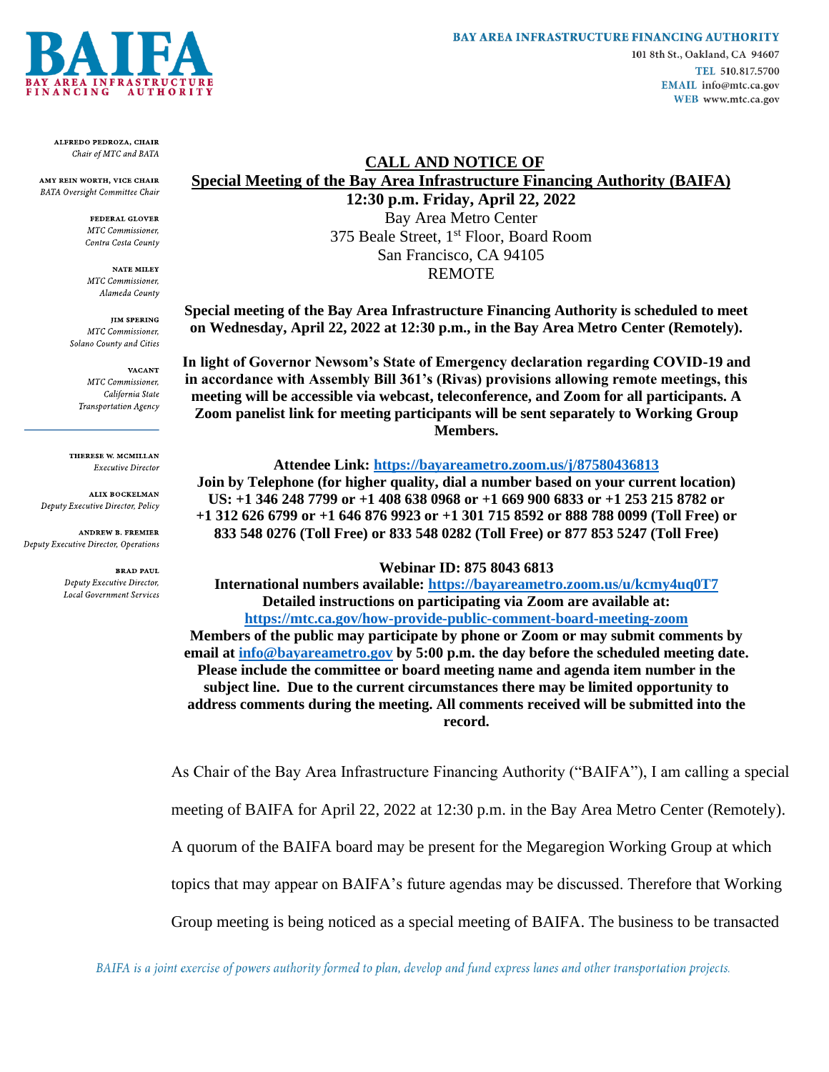

ALFREDO PEDROZA, CHAIR Chair of MTC and BATA

AMY REIN WORTH, VICE CHAIR BATA Oversight Committee Chair

> FEDERAL GLOVER **MTC** Commissioner. Contra Costa County

**NATE MILEY** MTC Commissioner, Alameda County

**IIM SPERING** MTC Commissioner, Solano County and Cities

**VACANT** MTC Commissioner, California State Transportation Agency

THERESE W. MCMILLAN **Executive Director** 

**ALIX BOCKELMAN** Deputy Executive Director, Policy

**ANDREW B. FREMIER** Deputy Executive Director, Operations

> **BRAD PAUL** Deputy Executive Director, **Local Government Services**

### **BAY AREA INFRASTRUCTURE FINANCING AUTHORITY**

101 8th St., Oakland, CA 94607 TEL 510.817.5700 EMAIL info@mtc.ca.gov WEB www.mtc.ca.gov

# **CALL AND NOTICE OF Special Meeting of the Bay Area Infrastructure Financing Authority (BAIFA)**

**12:30 p.m. Friday, April 22, 2022** Bay Area Metro Center 375 Beale Street, 1<sup>st</sup> Floor, Board Room San Francisco, CA 94105 REMOTE

**Special meeting of the Bay Area Infrastructure Financing Authority is scheduled to meet on Wednesday, April 22, 2022 at 12:30 p.m., in the Bay Area Metro Center (Remotely).** 

**In light of Governor Newsom's State of Emergency declaration regarding COVID-19 and in accordance with Assembly Bill 361's (Rivas) provisions allowing remote meetings, this meeting will be accessible via webcast, teleconference, and Zoom for all participants. A Zoom panelist link for meeting participants will be sent separately to Working Group Members.**

#### **Attendee Link:<https://bayareametro.zoom.us/j/87580436813>**

**Join by Telephone (for higher quality, dial a number based on your current location) US: +1 346 248 7799 or +1 408 638 0968 or +1 669 900 6833 or +1 253 215 8782 or +1 312 626 6799 or +1 646 876 9923 or +1 301 715 8592 or 888 788 0099 (Toll Free) or 833 548 0276 (Toll Free) or 833 548 0282 (Toll Free) or 877 853 5247 (Toll Free)**

#### **Webinar ID: 875 8043 6813**

**International numbers available:<https://bayareametro.zoom.us/u/kcmy4uq0T7> Detailed instructions on participating via Zoom are available at: <https://mtc.ca.gov/how-provide-public-comment-board-meeting-zoom> Members of the public may participate by phone or Zoom or may submit comments by email at [info@bayareametro.gov](mailto:info@bayareametro.gov) by 5:00 p.m. the day before the scheduled meeting date. Please include the committee or board meeting name and agenda item number in the subject line. Due to the current circumstances there may be limited opportunity to address comments during the meeting. All comments received will be submitted into the record.**

As Chair of the Bay Area Infrastructure Financing Authority ("BAIFA"), I am calling a special

meeting of BAIFA for April 22, 2022 at 12:30 p.m. in the Bay Area Metro Center (Remotely).

A quorum of the BAIFA board may be present for the Megaregion Working Group at which

topics that may appear on BAIFA's future agendas may be discussed. Therefore that Working

Group meeting is being noticed as a special meeting of BAIFA. The business to be transacted

BAIFA is a joint exercise of powers authority formed to plan, develop and fund express lanes and other transportation projects.